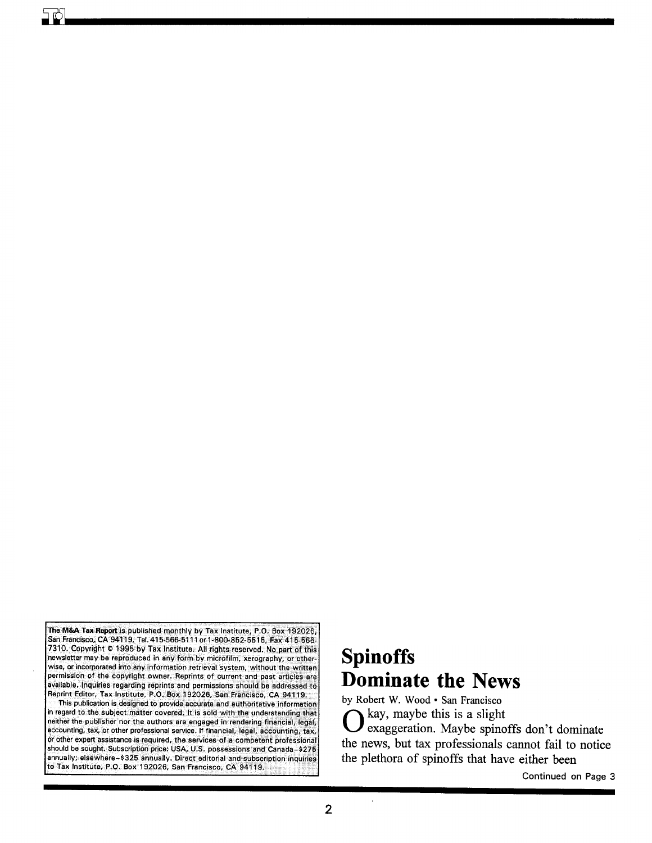The M&A Tax Report is published monthly by Tax Institute, P.O. Box 192026, San Francisco,; CA94119, Tel. 415-566-5111 or 1-800-852-5515, Fax 415-566- 7310. Copyright © 1995 by Tax Institute. All rights reserved. No part of this newsletter may be reproduced in any form by microfilm, xerography, or otherwise, or incorporated into any information retrieval system, without the written permission of the copyright owner. Reprints of current and past articles are available. Inquiries regarding reprints and permissions should be addressed to Reprint Editor, Tax Institute, P.O. Box 192026, San Francisco, CA94119. This publication is designed to provide accurate and authoritative information

in regard to the SUbject matter covered. It is sold with the understanding that neither the publisher nor the authors are engaged in rendering financial, legal, accounting, tax, or other professional service. If financial, legal, accounting, tax, or other expert assistance is required, the services of a competent professional should be sought. Subscription price: USA, U.S. possessions and Canada-\$275 annually; elsewhere-\$325 annually. Direct editorial and subscription inquiries to Tax Institute. P.O. Box 192026. San Francisco, CA 94119.

# **Spinoffs Dominate the News**

by Robert W. Wood· San Francisco  $\sum$  kay, maybe this is a slight<br>exaggeration. Maybe spinoffs don't dominate the news, but tax professionals cannot fail to notice the plethora of spinoffs that have either been

Continued on Page 3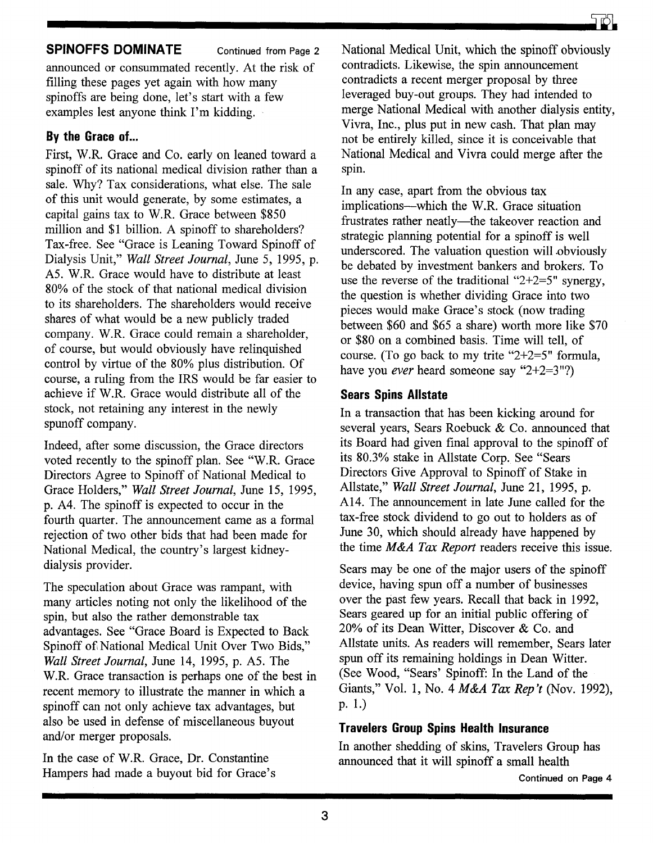## **SPINOFFS DOMINATE** Continued from Page 2

announced or consummated recently. At the risk of filling these pages yet again with how many spinoffs are being done, let's start with a few examples lest anyone think I'm kidding.

## **By the Grace of ...**

First, W.R. Grace and Co. early on leaned toward a spinoff of its national medical division rather than a sale. Why? Tax considerations, what else. The sale of this unit would generate, by some estimates, a capital gains tax to W.R. Grace between \$850 million and \$1 billion. A spinoff to shareholders? Tax-free. See "Grace is Leaning Toward Spinoff of Dialysis Unit," *Wall Street Journal,* June 5, 1995, p. A5. W.R. Grace would have to distribute at least 80% of the stock of that national medical division to its shareholders. The shareholders would receive shares of what would be a new publicly traded company. W.R. Grace could remain a shareholder, of course, but would obviously have relinquished control by virtue of the 80% plus distribution. Of course, a ruling from the IRS would be far easier to achieve if W.R. Grace would distribute all of the stock, not retaining any interest in the newly spunoff company.

Indeed, after some discussion, the Grace directors voted recently to the spinoff plan. See "W.R. Grace Directors Agree to Spinoff of National Medical to Grace Holders," *Wall Street Journal,* June 15, 1995, p. A4. The spinoff is expected to occur in the fourth quarter. The announcement came as a formal rejection of two other bids that had been made for National Medical, the country's largest kidneydialysis provider.

The speculation about Grace was rampant, with many articles noting not only the likelihood of the spin, but also the rather demonstrable tax advantages. See "Grace Board is Expected to Back Spinoff of National Medical Unit Over Two Bids," *Wall Street Journal,* June 14, 1995, p. A5. The W.R. Grace transaction is perhaps one of the best in recent memory to illustrate the manner in which a spinoff can not only achieve tax advantages, but also be used in defense of miscellaneous buyout and/or merger proposals.

In the case of W.R. Grace, Dr. Constantine Hampers had made a buyout bid for Grace's National Medical Unit, which the spinoff obviously contradicts. Likewise, the spin announcement contradicts a recent merger proposal by three leveraged buy-out groups. They had intended to merge National Medical with another dialysis entity, Vivra, Inc., plus put in new cash. That plan may not be entirely killed, since it is conceivable that National Medical and Vivra could merge after the spin.

In any case, apart from the obvious tax implications-which the W.R. Grace situation frustrates rather neatly-the takeover reaction and strategic planning potential for a spinoff is well underscored. The valuation question will obviously be debated by investment bankers and brokers. To use the reverse of the traditional "2+2=5" synergy, the question is whether dividing Grace into two pieces would make Grace's stock (now trading between \$60 and \$65 a share) worth more like \$70 or \$80 on a combined basis. Time will tell, of course. (To go back to my trite "2+2=5" formula, have you *ever* heard someone say "2+2=3"?)

## **Sears Spins Allstate**

In a transaction that has been kicking around for several years, Sears Roebuck & Co. announced that its Board had given final approval to the spinoff of its 80.3% stake in Allstate Corp. See "Sears Directors Give Approval to Spinoff of Stake in Allstate," *Wall Street Journal,* June 21, 1995, p. A14. The announcement in late June called for the tax-free stock dividend to go out to holders as of June 30, which should already have happened by the time *M&A Tax Report* readers receive this issue.

Sears may be one of the major users of the spinoff device, having spun off a number of businesses over the past few years. Recall that back in 1992, Sears geared up for an initial public offering of 20% of its Dean Witter, Discover & Co. and Allstate units. As readers will remember, Sears later spun off its remaining holdings in Dean Witter. (See Wood, "Sears' Spinoff: In the Land of the Giants," Vol. 1, No.4 *M&A Tax Rep't* (Nov. 1992), p. 1.)

## **Travelers Group Spins Health Insurance**

In another shedding of skins, Travelers Group has announced that it will spinoff a small health

Continued on Page 4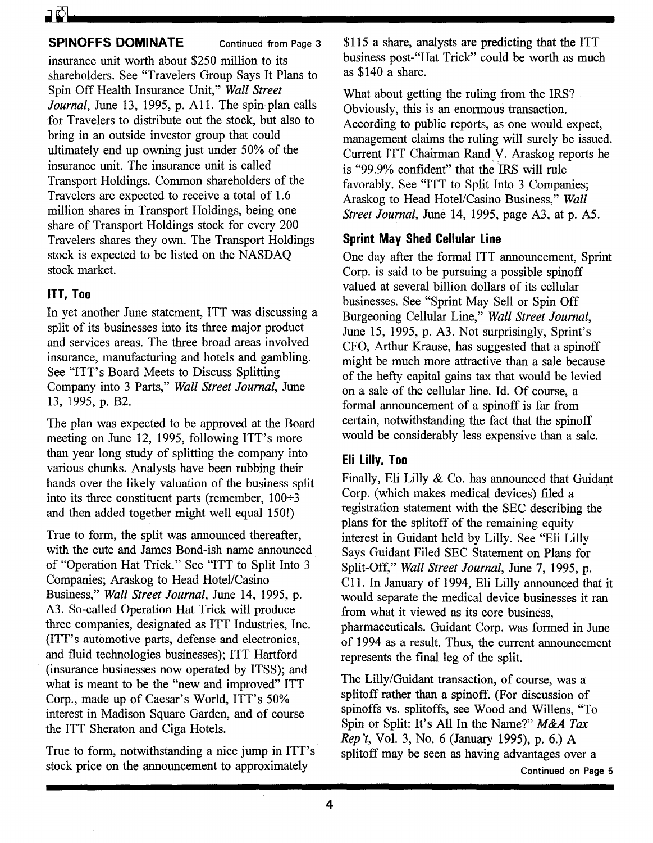#### **SPINOFFS DOMINATE** Continued from Page 3

insurance unit worth about \$250 million to its shareholders. See "Travelers Group Says It Plans to Spin Off Health Insurance Unit," *Wall Street Journal*, June 13, 1995, p. A11. The spin plan calls for Travelers to distribute out the stock, but also to bring in an outside investor group that could ultimately end up owning just under 50% of the insurance unit. The insurance unit is called Transport Holdings. Common shareholders of the Travelers are expected to receive a total of 1.6 million shares in Transport Holdings, being one share of Transport Holdings stock for every 200 Travelers shares they own. The Transport Holdings stock is expected to be listed on the NASDAQ stock market.

#### **ITT, Too**

In yet another June statement, ITT was discussing a split of its businesses into its three major product and services areas. The three broad areas involved insurance, manufacturing and hotels and gambling. See "ITT's Board Meets to Discuss Splitting Company into 3 Parts," *Wall Street Journal,* June 13, 1995, p. B2.

The plan was expected to be approved at the Board meeting on June 12, 1995, following ITT's more than year long study of splitting the company into various chunks. Analysts have been rubbing their hands over the likely valuation of the business split into its three constituent parts (remember,  $100\div 3$ and then added together might well equal 150!)

True to form, the split was announced thereafter, with the cute and James Bond-ish name announced of "Operation Hat Trick." See "ITT to Split Into 3 Companies; Araskog to Head Hotel/Casino Business," *Wall Street Journal,* June 14, 1995, p. A3. So-called Operation Hat Trick will produce three companies, designated as ITT Industries, Inc. (ITT's automotive parts, defense and electronics, and fluid technologies businesses); ITT Hartford (insurance businesses now operated by ITSS); and what is meant to be the "new and improved" ITT Corp., made up of Caesar's World, ITT's 50% interest in Madison Square Garden, and of course the ITT Sheraton and Ciga Hotels.

True to form, notwithstanding a nice jump in ITT's stock price on the announcement to approximately

\$115 a share, analysts are predicting that the ITT business post-"Hat Trick" could be worth as much as \$140 a share.

What about getting the ruling from the IRS? Obviously, this is an enormous transaction. According to public reports, as one would expect, management claims the ruling will surely be issued. Current ITT Chairman Rand.V. Araskog reports he is "99.9% confident" that the IRS will rule favorably. See "ITT to Split Into 3 Companies; Araskog to Head Hotel/Casino Business," *Wall Street Journal,* June 14, 1995, page A3, at p. A5.

## **Sprint May Shed Cellular Line**

One day after the formal ITT announcement, Sprint Corp. is said to be pursuing a possible spinoff valued at several billion dollars of its cellular businesses. See "Sprint May Sell or Spin Off Burgeoning Cellular Line," *Wall Street Journal,*  June 15, 1995, p. A3. Not surprisingly, Sprint's CFO, Arthur Krause, has suggested that a spinoff might be much more attractive than a sale because of the hefty capital gains tax that would be levied on a sale of the cellular line. Id. Of course, a formal announcement of a spinoff is far from certain, notwithstanding the fact that the spinoff would be considerably less expensive than a sale.

## **Eli Lilly, Too**

Finally, Eli Lilly  $&$  Co. has announced that Guidant Corp. (which makes medical devices) filed a registration statement with the SEC describing the plans for the splitoff of the remaining equity interest in Guidant held by Lilly. See "Eli Lilly Says Guidant Filed SEC Statement on Plans for Split-Off," *Wall Street Journal,* June 7, 1995, p. C11. In January of 1994, Eli Lilly announced that it would separate the medical device businesses it ran from what it viewed as its core business, pharmaceuticals. Guidant Corp. was formed in June of 1994 as a result. Thus, the current announcement represents the final leg of the split.

The Lilly/Guidant transaction, of course, was a splitoff rather than a spinoff. (For discussion of spinoffs vs. splitoffs, see Wood and Willens, "To Spin or Split: It's All In the Name?" *M&A Tax Rep't,* Vol. 3, No.6 (January 1995), p. 6.) A splitoff may be seen as having advantages over a

Continued on Page 5